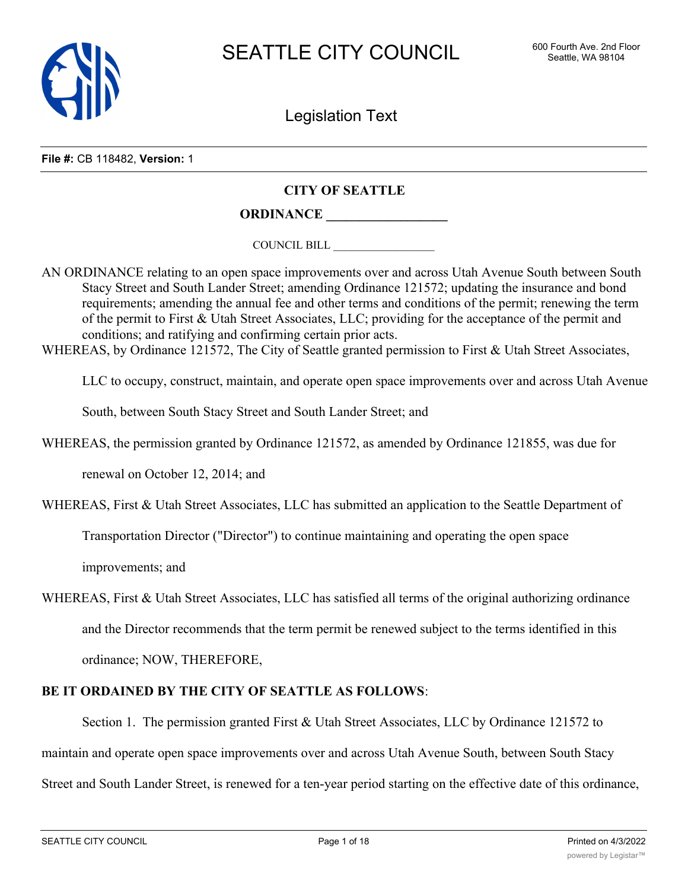

Legislation Text

**File #:** CB 118482, **Version:** 1

## **CITY OF SEATTLE**

**ORDINANCE \_\_\_\_\_\_\_\_\_\_\_\_\_\_\_\_\_\_**

COUNCIL BILL \_\_\_\_\_\_\_\_\_\_\_\_\_\_\_\_\_\_

AN ORDINANCE relating to an open space improvements over and across Utah Avenue South between South Stacy Street and South Lander Street; amending Ordinance 121572; updating the insurance and bond requirements; amending the annual fee and other terms and conditions of the permit; renewing the term of the permit to First & Utah Street Associates, LLC; providing for the acceptance of the permit and conditions; and ratifying and confirming certain prior acts.

WHEREAS, by Ordinance 121572, The City of Seattle granted permission to First & Utah Street Associates,

LLC to occupy, construct, maintain, and operate open space improvements over and across Utah Avenue

South, between South Stacy Street and South Lander Street; and

WHEREAS, the permission granted by Ordinance 121572, as amended by Ordinance 121855, was due for

renewal on October 12, 2014; and

WHEREAS, First & Utah Street Associates, LLC has submitted an application to the Seattle Department of

Transportation Director ("Director") to continue maintaining and operating the open space

improvements; and

WHEREAS, First & Utah Street Associates, LLC has satisfied all terms of the original authorizing ordinance and the Director recommends that the term permit be renewed subject to the terms identified in this ordinance; NOW, THEREFORE,

## **BE IT ORDAINED BY THE CITY OF SEATTLE AS FOLLOWS**:

Section 1. The permission granted First & Utah Street Associates, LLC by Ordinance 121572 to maintain and operate open space improvements over and across Utah Avenue South, between South Stacy Street and South Lander Street, is renewed for a ten-year period starting on the effective date of this ordinance,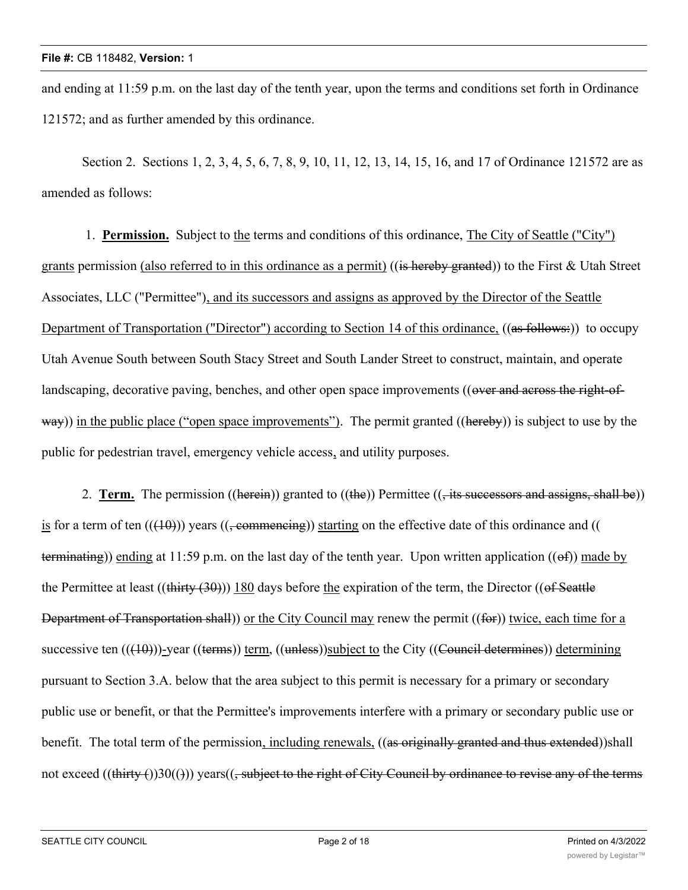and ending at 11:59 p.m. on the last day of the tenth year, upon the terms and conditions set forth in Ordinance 121572; and as further amended by this ordinance.

Section 2. Sections 1, 2, 3, 4, 5, 6, 7, 8, 9, 10, 11, 12, 13, 14, 15, 16, and 17 of Ordinance 121572 are as amended as follows:

 1. **Permission.** Subject to the terms and conditions of this ordinance, The City of Seattle ("City") grants permission (also referred to in this ordinance as a permit) ((is hereby granted)) to the First & Utah Street Associates, LLC ("Permittee"), and its successors and assigns as approved by the Director of the Seattle Department of Transportation ("Director") according to Section 14 of this ordinance, ((as follows:)) to occupy Utah Avenue South between South Stacy Street and South Lander Street to construct, maintain, and operate landscaping, decorative paving, benches, and other open space improvements ((over and across the right-ofway)) in the public place ("open space improvements"). The permit granted ((hereby)) is subject to use by the public for pedestrian travel, emergency vehicle access, and utility purposes.

2. **Term.** The permission ((herein)) granted to ((the)) Permittee ((, its successors and assigns, shall be)) is for a term of ten  $((10))$  years  $((\text{permemening}))$  starting on the effective date of this ordinance and (() terminating)) ending at 11:59 p.m. on the last day of the tenth year. Upon written application ((of)) made by the Permittee at least  $((\text{thirty} (30)))$  180 days before the expiration of the term, the Director  $((\text{of Seattle})$ Department of Transportation shall)) or the City Council may renew the permit ((for)) twice, each time for a successive ten  $((\{10\}))$ -year  $((\text{terms}))$  term,  $((\text{unless}))$ subject to the City  $((\text{Counter}$  determines)) determining pursuant to Section 3.A. below that the area subject to this permit is necessary for a primary or secondary public use or benefit, or that the Permittee's improvements interfere with a primary or secondary public use or benefit. The total term of the permission, including renewals, ((as originally granted and thus extended))shall not exceed ((thirty  $()30(())$ ) years(( $\frac{1}{2}$  subject to the right of City Council by ordinance to revise any of the terms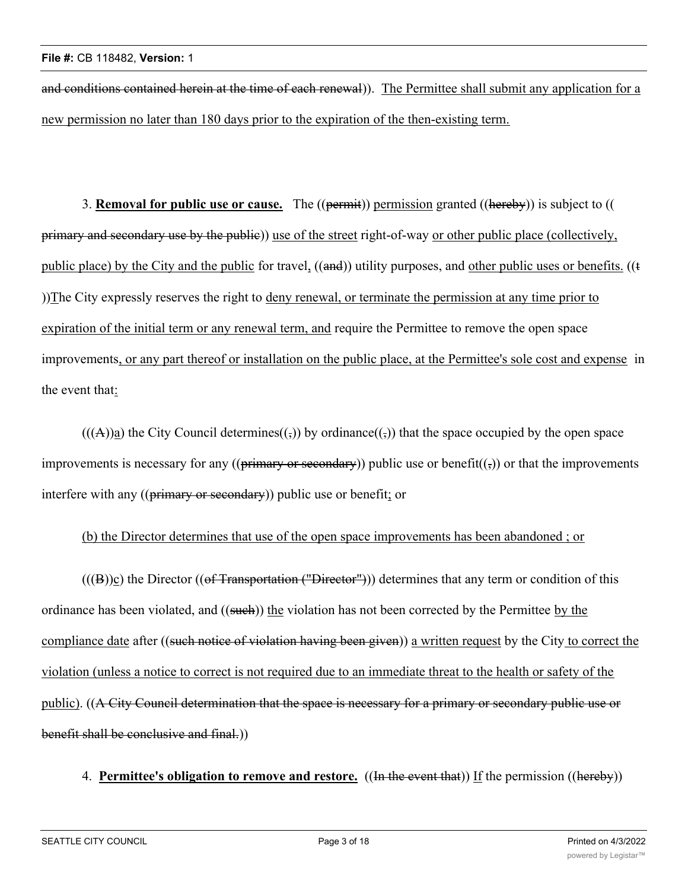and conditions contained herein at the time of each renewal)). The Permittee shall submit any application for a new permission no later than 180 days prior to the expiration of the then-existing term.

3. **Removal for public use or cause.** The ((permit)) permission granted ((hereby)) is subject to (( primary and secondary use by the public)) use of the street right-of-way or other public place (collectively, public place) by the City and the public for travel, ((and)) utility purposes, and other public uses or benefits. ((t ))The City expressly reserves the right to deny renewal, or terminate the permission at any time prior to expiration of the initial term or any renewal term, and require the Permittee to remove the open space improvements, or any part thereof or installation on the public place, at the Permittee's sole cost and expense in the event that:

 $(((A))a)$  the City Council determines $((,))$  by ordinance $((,))$  that the space occupied by the open space improvements is necessary for any (( $\frac{p\cdot p\cdot m}{p\cdot q}$  or secondary)) public use or benefit( $(\frac{1}{2})$ ) or that the improvements interfere with any ((primary or secondary)) public use or benefit; or

## (b) the Director determines that use of the open space improvements has been abandoned ; or

 $(((B))c)$  the Director  $((of Transformation ("Director")))$  determines that any term or condition of this ordinance has been violated, and ((such)) the violation has not been corrected by the Permittee by the compliance date after ((such notice of violation having been given)) a written request by the City to correct the violation (unless a notice to correct is not required due to an immediate threat to the health or safety of the public). ((A City Council determination that the space is necessary for a primary or secondary public use or benefit shall be conclusive and final.)

# 4. **Permittee's obligation to remove and restore.** ((In the event that)) If the permission ((hereby))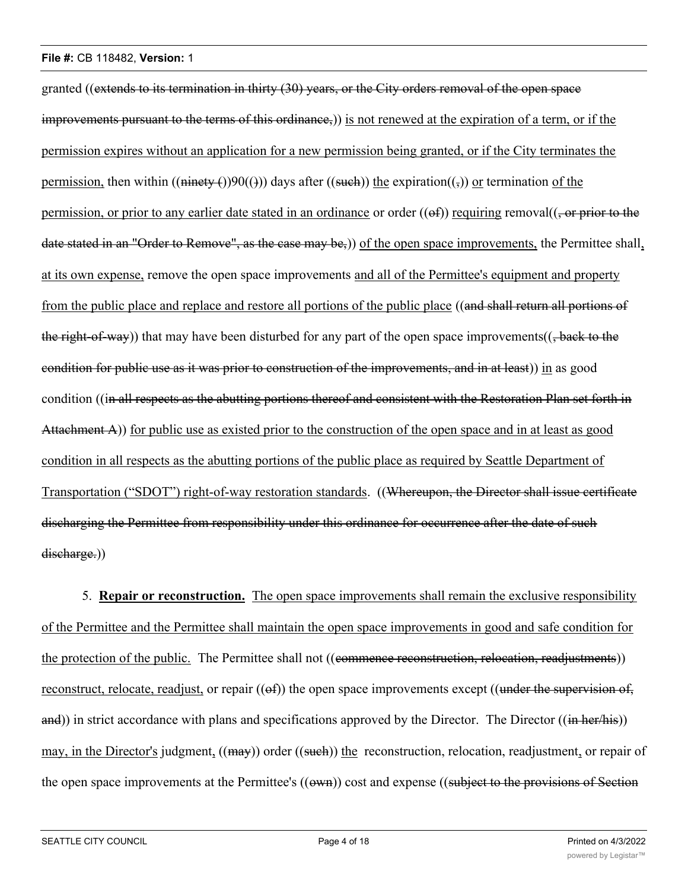granted ((extends to its termination in thirty (30) years, or the City orders removal of the open space improvements pursuant to the terms of this ordinance,)) is not renewed at the expiration of a term, or if the permission expires without an application for a new permission being granted, or if the City terminates the permission, then within  $((\text{minety } f))90(())$  days after  $((\text{such}))$  the expiration $((,))$  or termination of the permission, or prior to any earlier date stated in an ordinance or order  $((ef))$  requiring removal $((, or prior to the$ date stated in an "Order to Remove", as the case may be,)) of the open space improvements, the Permittee shall, at its own expense, remove the open space improvements and all of the Permittee's equipment and property from the public place and replace and restore all portions of the public place ((and shall return all portions of the right-of-way) that may have been disturbed for any part of the open space improvements(( $\frac{1}{2}$ back to the condition for public use as it was prior to construction of the improvements, and in at least)) in as good condition ((in all respects as the abutting portions thereof and consistent with the Restoration Plan set forth in Attachment A)) for public use as existed prior to the construction of the open space and in at least as good condition in all respects as the abutting portions of the public place as required by Seattle Department of Transportation ("SDOT") right-of-way restoration standards. ((Whereupon, the Director shall issue certificate discharging the Permittee from responsibility under this ordinance for occurrence after the date of such discharge.)

5. **Repair or reconstruction.** The open space improvements shall remain the exclusive responsibility of the Permittee and the Permittee shall maintain the open space improvements in good and safe condition for the protection of the public. The Permittee shall not ((commence reconstruction, relocation, readjustments)) reconstruct, relocate, readjust, or repair  $((ef))$  the open space improvements except  $((under the *supervision of*,$ and)) in strict accordance with plans and specifications approved by the Director. The Director ((in her/his)) may, in the Director's judgment, ((may)) order ((such)) the reconstruction, relocation, readjustment, or repair of the open space improvements at the Permittee's ((own)) cost and expense ((subject to the provisions of Section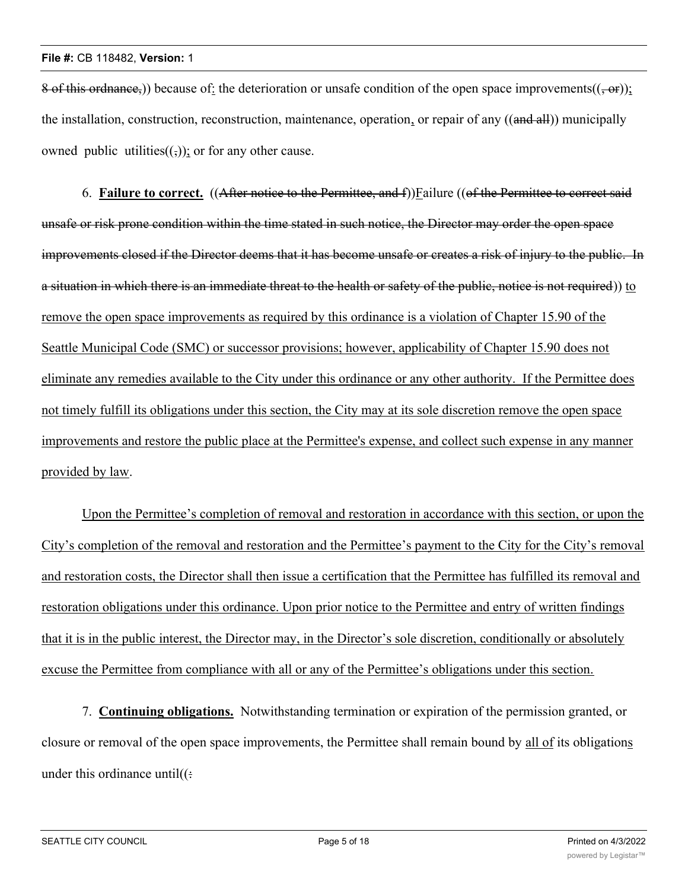8 of this ordnance,)) because of: the deterioration or unsafe condition of the open space improvements( $(-\theta r)$ ); the installation, construction, reconstruction, maintenance, operation, or repair of any ((and all)) municipally owned public utilities( $($ , $)$ ); or for any other cause.

6. **Failure to correct.** ((After notice to the Permittee, and f))Failure ((of the Permittee to correct said unsafe or risk prone condition within the time stated in such notice, the Director may order the open space improvements closed if the Director deems that it has become unsafe or creates a risk of injury to the public. In a situation in which there is an immediate threat to the health or safety of the public, notice is not required)) to remove the open space improvements as required by this ordinance is a violation of Chapter 15.90 of the Seattle Municipal Code (SMC) or successor provisions; however, applicability of Chapter 15.90 does not eliminate any remedies available to the City under this ordinance or any other authority. If the Permittee does not timely fulfill its obligations under this section, the City may at its sole discretion remove the open space improvements and restore the public place at the Permittee's expense, and collect such expense in any manner provided by law.

Upon the Permittee's completion of removal and restoration in accordance with this section, or upon the City's completion of the removal and restoration and the Permittee's payment to the City for the City's removal and restoration costs, the Director shall then issue a certification that the Permittee has fulfilled its removal and restoration obligations under this ordinance. Upon prior notice to the Permittee and entry of written findings that it is in the public interest, the Director may, in the Director's sole discretion, conditionally or absolutely excuse the Permittee from compliance with all or any of the Permittee's obligations under this section.

7. **Continuing obligations.** Notwithstanding termination or expiration of the permission granted, or closure or removal of the open space improvements, the Permittee shall remain bound by all of its obligations under this ordinance until $((\div)$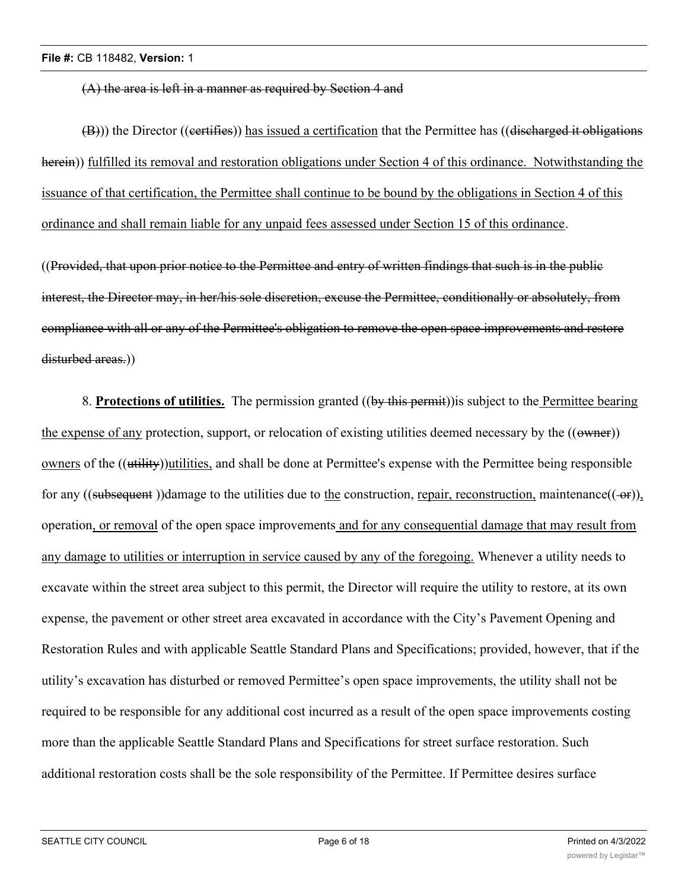(A) the area is left in a manner as required by Section 4 and

(B))) the Director ((certifies)) has issued a certification that the Permittee has ((discharged it obligations herein)) fulfilled its removal and restoration obligations under Section 4 of this ordinance. Notwithstanding the issuance of that certification, the Permittee shall continue to be bound by the obligations in Section 4 of this ordinance and shall remain liable for any unpaid fees assessed under Section 15 of this ordinance.

((Provided, that upon prior notice to the Permittee and entry of written findings that such is in the public interest, the Director may, in her/his sole discretion, excuse the Permittee, conditionally or absolutely, from compliance with all or any of the Permittee's obligation to remove the open space improvements and restore disturbed areas.))

8. **Protections of utilities.** The permission granted ((by this permit))is subject to the Permittee bearing the expense of any protection, support, or relocation of existing utilities deemed necessary by the  $((\text{swner}))$ owners of the ((utility))utilities, and shall be done at Permittee's expense with the Permittee being responsible for any ((subsequent))damage to the utilities due to the construction, repair, reconstruction, maintenance( $(-\theta r)$ ), operation, or removal of the open space improvements and for any consequential damage that may result from any damage to utilities or interruption in service caused by any of the foregoing. Whenever a utility needs to excavate within the street area subject to this permit, the Director will require the utility to restore, at its own expense, the pavement or other street area excavated in accordance with the City's Pavement Opening and Restoration Rules and with applicable Seattle Standard Plans and Specifications; provided, however, that if the utility's excavation has disturbed or removed Permittee's open space improvements, the utility shall not be required to be responsible for any additional cost incurred as a result of the open space improvements costing more than the applicable Seattle Standard Plans and Specifications for street surface restoration. Such additional restoration costs shall be the sole responsibility of the Permittee. If Permittee desires surface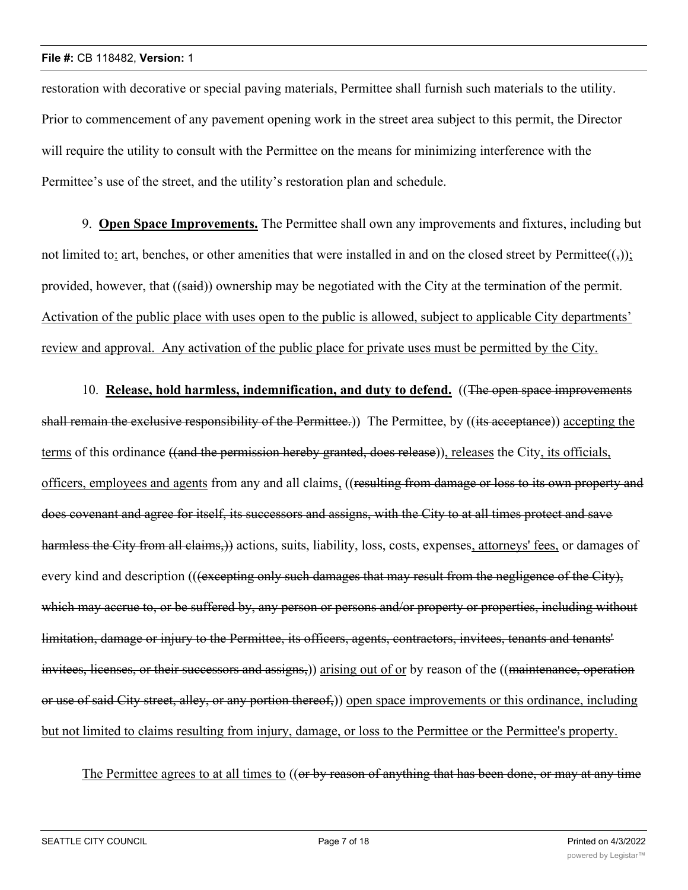restoration with decorative or special paving materials, Permittee shall furnish such materials to the utility. Prior to commencement of any pavement opening work in the street area subject to this permit, the Director will require the utility to consult with the Permittee on the means for minimizing interference with the Permittee's use of the street, and the utility's restoration plan and schedule.

9. **Open Space Improvements.** The Permittee shall own any improvements and fixtures, including but not limited to: art, benches, or other amenities that were installed in and on the closed street by Permittee $((\tau))$ ; provided, however, that ((said)) ownership may be negotiated with the City at the termination of the permit. Activation of the public place with uses open to the public is allowed, subject to applicable City departments' review and approval. Any activation of the public place for private uses must be permitted by the City.

10. **Release, hold harmless, indemnification, and duty to defend.** ((The open space improvements shall remain the exclusive responsibility of the Permittee.) The Permittee, by ((its acceptance)) accepting the terms of this ordinance ((and the permission hereby granted, does release)), releases the City, its officials, officers, employees and agents from any and all claims, ((resulting from damage or loss to its own property and does covenant and agree for itself, its successors and assigns, with the City to at all times protect and save harmless the City from all claims,)) actions, suits, liability, loss, costs, expenses, attorneys' fees, or damages of every kind and description (((excepting only such damages that may result from the negligence of the City), which may accrue to, or be suffered by, any person or persons and/or property or properties, including without limitation, damage or injury to the Permittee, its officers, agents, contractors, invitees, tenants and tenants' invitees, licenses, or their successors and assigns,)) arising out of or by reason of the ((maintenance, operation or use of said City street, alley, or any portion thereof,)) open space improvements or this ordinance, including but not limited to claims resulting from injury, damage, or loss to the Permittee or the Permittee's property.

The Permittee agrees to at all times to ((or by reason of anything that has been done, or may at any time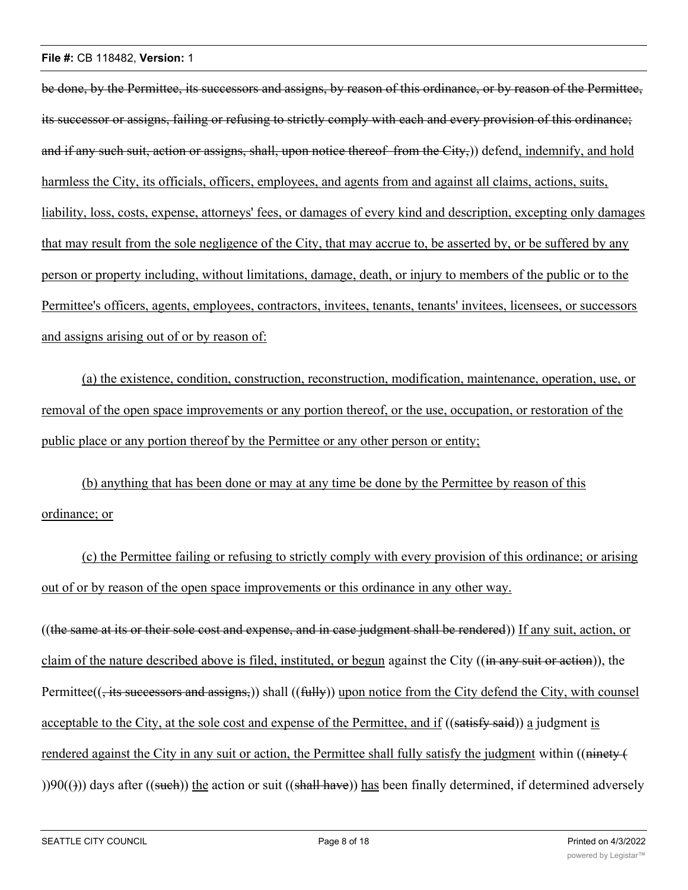be done, by the Permittee, its successors and assigns, by reason of this ordinance, or by reason of the Permittee, its successor or assigns, failing or refusing to strictly comply with each and every provision of this ordinance; and if any such suit, action or assigns, shall, upon notice thereof from the City,) defend, indemnify, and hold harmless the City, its officials, officers, employees, and agents from and against all claims, actions, suits, liability, loss, costs, expense, attorneys' fees, or damages of every kind and description, excepting only damages that may result from the sole negligence of the City, that may accrue to, be asserted by, or be suffered by any person or property including, without limitations, damage, death, or injury to members of the public or to the Permittee's officers, agents, employees, contractors, invitees, tenants, tenants' invitees, licensees, or successors and assigns arising out of or by reason of:

(a) the existence, condition, construction, reconstruction, modification, maintenance, operation, use, or removal of the open space improvements or any portion thereof, or the use, occupation, or restoration of the public place or any portion thereof by the Permittee or any other person or entity;

(b) anything that has been done or may at any time be done by the Permittee by reason of this ordinance; or

(c) the Permittee failing or refusing to strictly comply with every provision of this ordinance; or arising out of or by reason of the open space improvements or this ordinance in any other way.

((the same at its or their sole cost and expense, and in case judgment shall be rendered)) If any suit, action, or claim of the nature described above is filed, instituted, or begun against the City ((in any suit or action)), the Permittee((, its successors and assigns,)) shall ((fully)) upon notice from the City defend the City, with counsel acceptable to the City, at the sole cost and expense of the Permittee, and if ((satisfy said)) a judgment is rendered against the City in any suit or action, the Permittee shall fully satisfy the judgment within ((ninety  $\left($  $()$ )90(( $)$ )) days after ((such)) the action or suit ((shall have)) has been finally determined, if determined adversely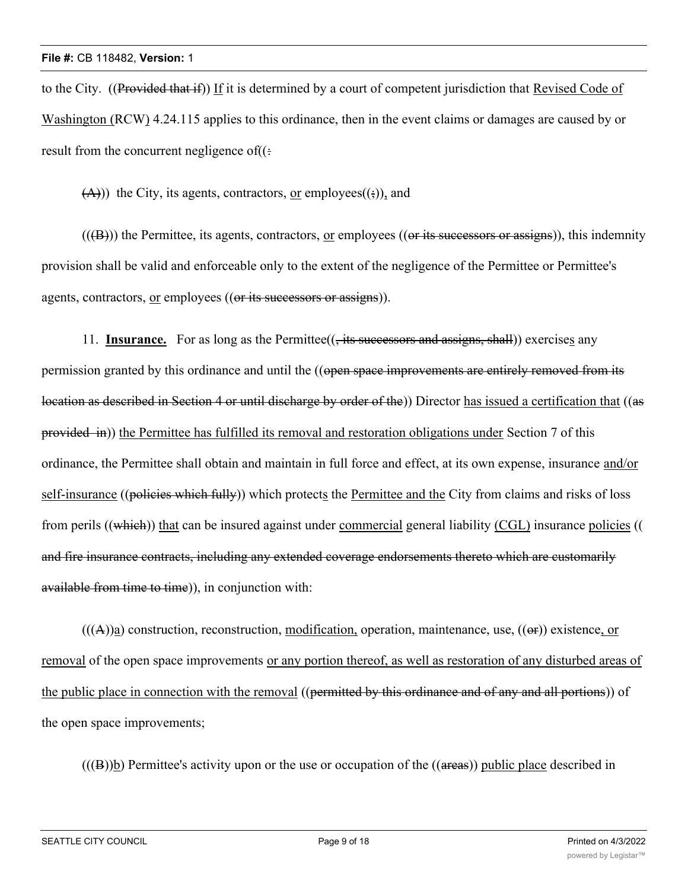to the City. ((Provided that if)) If it is determined by a court of competent jurisdiction that Revised Code of Washington (RCW) 4.24.115 applies to this ordinance, then in the event claims or damages are caused by or result from the concurrent negligence of $((\cdot))$ 

 $(A)$ )) the City, its agents, contractors, or employees $((\frac{1}{2}))$ , and

 $((**(B)**))$  the Permittee, its agents, contractors, or employees  $((**or its successors or assigns**)), this identity$ provision shall be valid and enforceable only to the extent of the negligence of the Permittee or Permittee's agents, contractors, or employees ((or its successors or assigns)).

11. **Insurance.** For as long as the Permittee((, its successors and assigns, shall)) exercises any permission granted by this ordinance and until the ((open space improvements are entirely removed from its location as described in Section 4 or until discharge by order of the)) Director has issued a certification that ((as provided in)) the Permittee has fulfilled its removal and restoration obligations under Section 7 of this ordinance, the Permittee shall obtain and maintain in full force and effect, at its own expense, insurance and/or self-insurance ((policies which fully)) which protects the Permittee and the City from claims and risks of loss from perils ((which)) that can be insured against under commercial general liability (CGL) insurance policies (( and fire insurance contracts, including any extended coverage endorsements thereto which are customarily available from time to time)), in conjunction with:

 $(((A))a)$  construction, reconstruction, modification, operation, maintenance, use,  $((\theta f))$  existence, or removal of the open space improvements or any portion thereof, as well as restoration of any disturbed areas of the public place in connection with the removal ((permitted by this ordinance and of any and all portions)) of the open space improvements;

 $((B))$ b) Permittee's activity upon or the use or occupation of the  $((\text{areas}))$  public place described in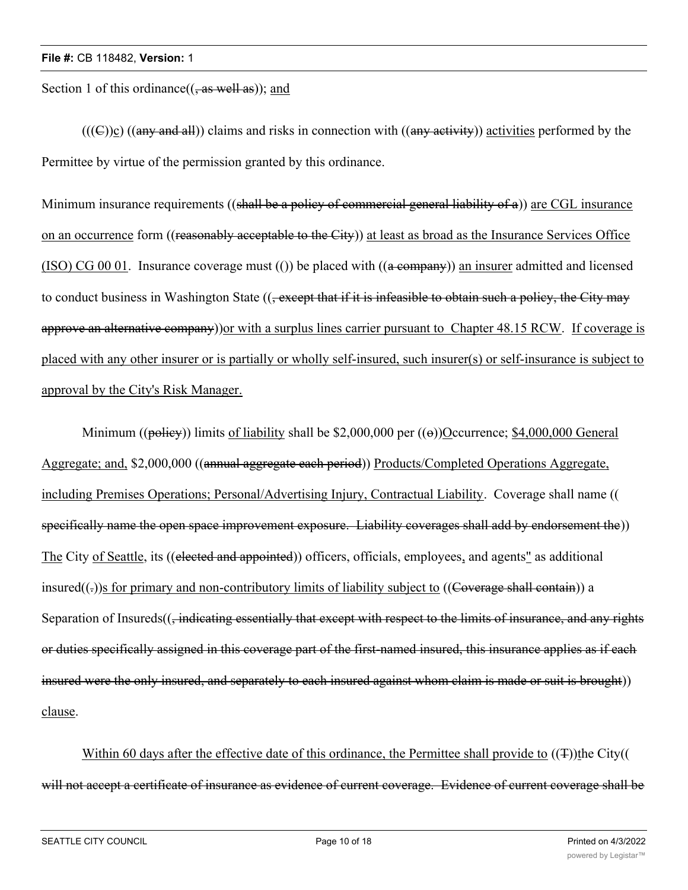Section 1 of this ordinance $((, as well as))$ ; and

 $((\text{(C)})c)$  ((any and all)) claims and risks in connection with ((any activity)) activities performed by the Permittee by virtue of the permission granted by this ordinance.

Minimum insurance requirements ((shall be a policy of commercial general liability of a)) are CGL insurance on an occurrence form ((reasonably acceptable to the City)) at least as broad as the Insurance Services Office (ISO) CG 00 01. Insurance coverage must (()) be placed with  $((a \rightarrow e)$  an insurer admitted and licensed to conduct business in Washington State ((, except that if it is infeasible to obtain such a policy, the City may approve an alternative company) or with a surplus lines carrier pursuant to Chapter 48.15 RCW. If coverage is placed with any other insurer or is partially or wholly self-insured, such insurer(s) or self-insurance is subject to approval by the City's Risk Manager.

Minimum (( $p\ddot{\text{obley}}$ ) limits of liability shall be \$2,000,000 per ( $\ddot{\text{(e)}}$ )Occurrence; \$4,000,000 General Aggregate; and, \$2,000,000 ((annual aggregate each period)) Products/Completed Operations Aggregate, including Premises Operations; Personal/Advertising Injury, Contractual Liability. Coverage shall name (( specifically name the open space improvement exposure. Liability coverages shall add by endorsement the)) The City of Seattle, its ((elected and appointed)) officers, officials, employees, and agents" as additional insured $((.)$ s for primary and non-contributory limits of liability subject to  $((\text{Coverage shall contain}))$  a Separation of Insureds((, indicating essentially that except with respect to the limits of insurance, and any rights or duties specifically assigned in this coverage part of the first-named insured, this insurance applies as if each insured were the only insured, and separately to each insured against whom claim is made or suit is brought)) clause.

Within 60 days after the effective date of this ordinance, the Permittee shall provide to  $((\texttt{F}))$ the City(( will not accept a certificate of insurance as evidence of current coverage. Evidence of current coverage shall be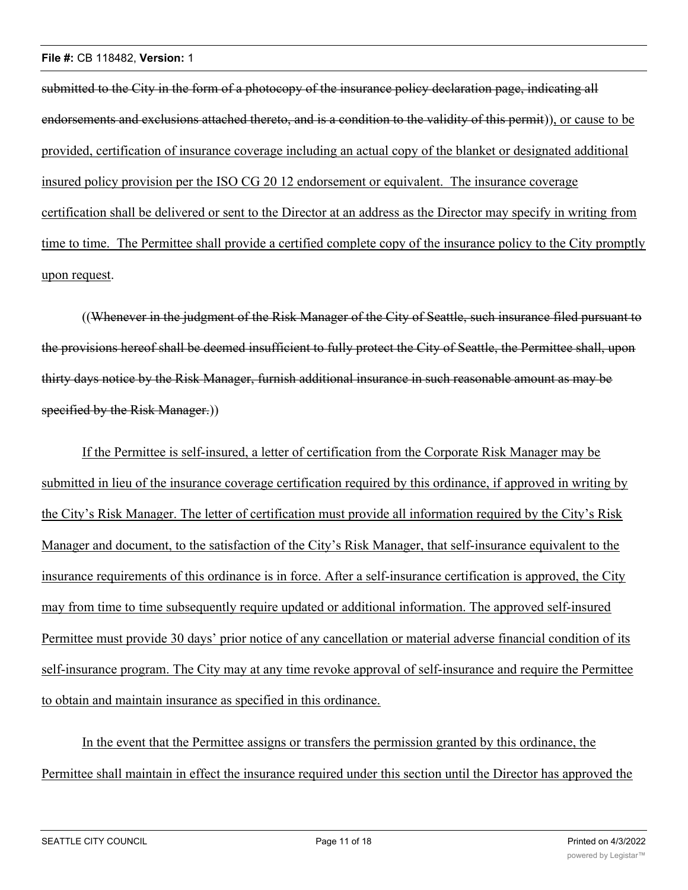submitted to the City in the form of a photocopy of the insurance policy declaration page, indicating all endorsements and exclusions attached thereto, and is a condition to the validity of this permit)), or cause to be provided, certification of insurance coverage including an actual copy of the blanket or designated additional insured policy provision per the ISO CG 20 12 endorsement or equivalent. The insurance coverage certification shall be delivered or sent to the Director at an address as the Director may specify in writing from time to time. The Permittee shall provide a certified complete copy of the insurance policy to the City promptly upon request.

((Whenever in the judgment of the Risk Manager of the City of Seattle, such insurance filed pursuant to the provisions hereof shall be deemed insufficient to fully protect the City of Seattle, the Permittee shall, upon thirty days notice by the Risk Manager, furnish additional insurance in such reasonable amount as may be specified by the Risk Manager.)

If the Permittee is self-insured, a letter of certification from the Corporate Risk Manager may be submitted in lieu of the insurance coverage certification required by this ordinance, if approved in writing by the City's Risk Manager. The letter of certification must provide all information required by the City's Risk Manager and document, to the satisfaction of the City's Risk Manager, that self-insurance equivalent to the insurance requirements of this ordinance is in force. After a self-insurance certification is approved, the City may from time to time subsequently require updated or additional information. The approved self-insured Permittee must provide 30 days' prior notice of any cancellation or material adverse financial condition of its self-insurance program. The City may at any time revoke approval of self-insurance and require the Permittee to obtain and maintain insurance as specified in this ordinance.

In the event that the Permittee assigns or transfers the permission granted by this ordinance, the Permittee shall maintain in effect the insurance required under this section until the Director has approved the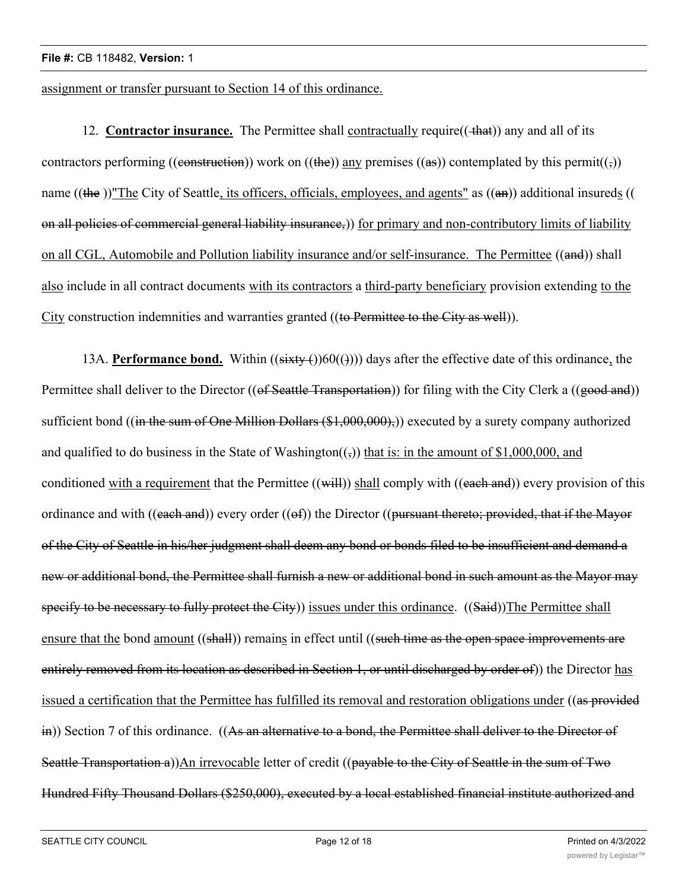assignment or transfer pursuant to Section 14 of this ordinance.

12. **Contractor insurance.** The Permittee shall contractually require((+ that)) any and all of its contractors performing ((construction)) work on ((the)) any premises ((as)) contemplated by this permit(( $\epsilon$ )) name ((the ))"The City of Seattle, its officers, officials, employees, and agents" as  $((a\text{m}))$  additional insureds (( on all policies of commercial general liability insurance,)) for primary and non-contributory limits of liability on all CGL, Automobile and Pollution liability insurance and/or self-insurance. The Permittee ((and)) shall also include in all contract documents with its contractors a third-party beneficiary provision extending to the City construction indemnities and warranties granted ((to Permittee to the City as well)).

13A. **Performance bond.** Within  $((sixty)(60)(4)))$  days after the effective date of this ordinance, the Permittee shall deliver to the Director ((of Seattle Transportation)) for filing with the City Clerk a ((good and)) sufficient bond ((in the sum of One Million Dollars  $(\text{\$1,000,000)}$ )) executed by a surety company authorized and qualified to do business in the State of Washington( $\overline{(\cdot)}$ ) that is: in the amount of \$1,000,000, and conditioned with a requirement that the Permittee  $((\text{will}))$  shall comply with  $((\text{each and}))$  every provision of this ordinance and with ((each and)) every order (( $\Theta$ f)) the Director (( $\rho$ ursuant thereto; provided, that if the Mayor of the City of Seattle in his/her judgment shall deem any bond or bonds filed to be insufficient and demand a new or additional bond, the Permittee shall furnish a new or additional bond in such amount as the Mayor may specify to be necessary to fully protect the City) issues under this ordinance. ((Said)) The Permittee shall ensure that the bond amount ((shall)) remains in effect until ((such time as the open space improvements are entirely removed from its location as described in Section 1, or until discharged by order of)) the Director has issued a certification that the Permittee has fulfilled its removal and restoration obligations under ((as provided in)) Section 7 of this ordinance. ((As an alternative to a bond, the Permittee shall deliver to the Director of Seattle Transportation a))An irrevocable letter of credit ((payable to the City of Seattle in the sum of Two Hundred Fifty Thousand Dollars (\$250,000), executed by a local established financial institute authorized and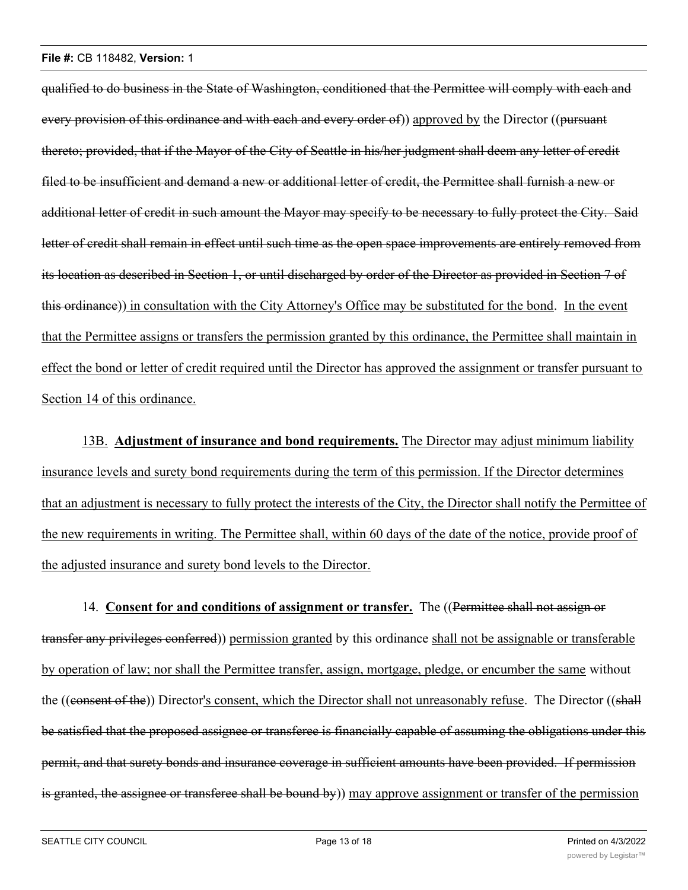qualified to do business in the State of Washington, conditioned that the Permittee will comply with each and every provision of this ordinance and with each and every order of) approved by the Director ((pursuant thereto; provided, that if the Mayor of the City of Seattle in his/her judgment shall deem any letter of credit filed to be insufficient and demand a new or additional letter of credit, the Permittee shall furnish a new or additional letter of credit in such amount the Mayor may specify to be necessary to fully protect the City. Said letter of credit shall remain in effect until such time as the open space improvements are entirely removed from its location as described in Section 1, or until discharged by order of the Director as provided in Section 7 of this ordinance)) in consultation with the City Attorney's Office may be substituted for the bond. In the event that the Permittee assigns or transfers the permission granted by this ordinance, the Permittee shall maintain in effect the bond or letter of credit required until the Director has approved the assignment or transfer pursuant to Section 14 of this ordinance.

13B. **Adjustment of insurance and bond requirements.** The Director may adjust minimum liability insurance levels and surety bond requirements during the term of this permission. If the Director determines that an adjustment is necessary to fully protect the interests of the City, the Director shall notify the Permittee of the new requirements in writing. The Permittee shall, within 60 days of the date of the notice, provide proof of the adjusted insurance and surety bond levels to the Director.

14. **Consent for and conditions of assignment or transfer.** The ((Permittee shall not assign or transfer any privileges conferred)) permission granted by this ordinance shall not be assignable or transferable by operation of law; nor shall the Permittee transfer, assign, mortgage, pledge, or encumber the same without the ((consent of the)) Director's consent, which the Director shall not unreasonably refuse. The Director ((shall be satisfied that the proposed assignee or transferee is financially capable of assuming the obligations under this permit, and that surety bonds and insurance coverage in sufficient amounts have been provided. If permission is granted, the assignee or transferee shall be bound by) may approve assignment or transfer of the permission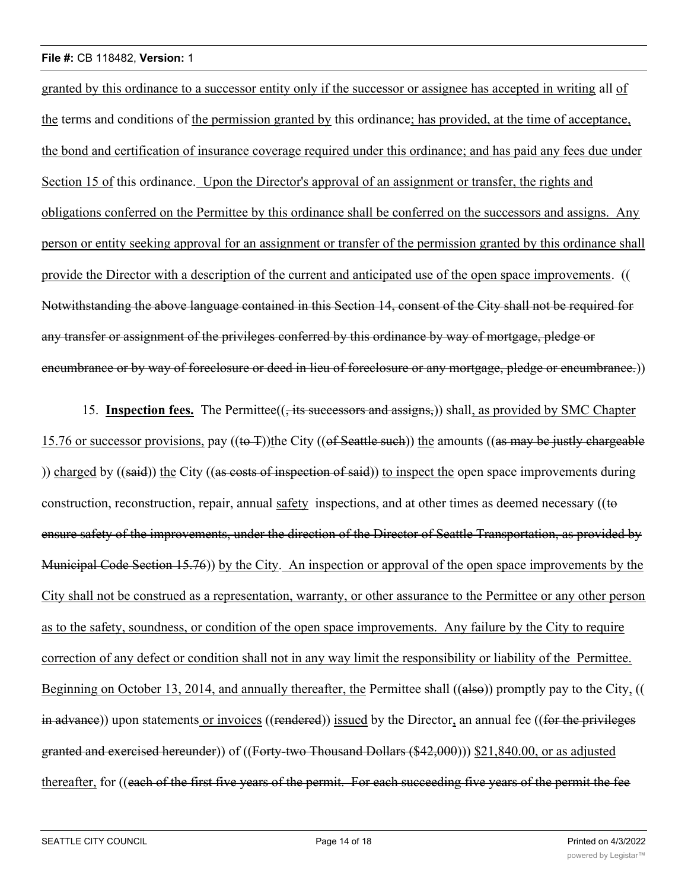#### **File #:** CB 118482, **Version:** 1

granted by this ordinance to a successor entity only if the successor or assignee has accepted in writing all of the terms and conditions of the permission granted by this ordinance; has provided, at the time of acceptance, the bond and certification of insurance coverage required under this ordinance; and has paid any fees due under Section 15 of this ordinance. Upon the Director's approval of an assignment or transfer, the rights and obligations conferred on the Permittee by this ordinance shall be conferred on the successors and assigns. Any person or entity seeking approval for an assignment or transfer of the permission granted by this ordinance shall provide the Director with a description of the current and anticipated use of the open space improvements. (( Notwithstanding the above language contained in this Section 14, consent of the City shall not be required for any transfer or assignment of the privileges conferred by this ordinance by way of mortgage, pledge or encumbrance or by way of foreclosure or deed in lieu of foreclosure or any mortgage, pledge or encumbrance.))

15. **Inspection fees.** The Permittee(( $\frac{1}{15}$  successors and assigns,)) shall, as provided by SMC Chapter 15.76 or successor provisions, pay  $((\text{to } \text{T}))$ the City  $((\text{of} S$ eattle such)) the amounts  $((\text{as} \text{ may be justly}$  chargeable )) charged by  $((said))$  the City  $((as costs of inspection of said))$  to inspect the open space improvements during construction, reconstruction, repair, annual safety inspections, and at other times as deemed necessary ((to ensure safety of the improvements, under the direction of the Director of Seattle Transportation, as provided by Municipal Code Section 15.76)) by the City. An inspection or approval of the open space improvements by the City shall not be construed as a representation, warranty, or other assurance to the Permittee or any other person as to the safety, soundness, or condition of the open space improvements. Any failure by the City to require correction of any defect or condition shall not in any way limit the responsibility or liability of the Permittee. Beginning on October 13, 2014, and annually thereafter, the Permittee shall ((also)) promptly pay to the City, (( in advance)) upon statements or invoices ((rendered)) issued by the Director, an annual fee ((for the privileges granted and exercised hereunder)) of ((Forty-two Thousand Dollars (\$42,000))) \$21,840.00, or as adjusted thereafter, for ((each of the first five years of the permit. For each succeeding five years of the permit the fee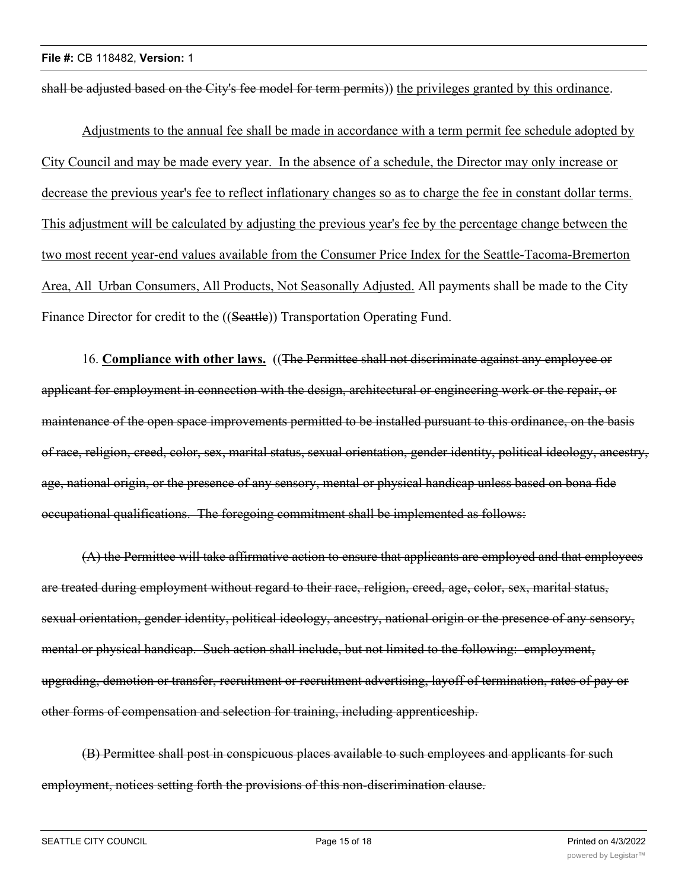shall be adjusted based on the City's fee model for term permits)) the privileges granted by this ordinance.

Adjustments to the annual fee shall be made in accordance with a term permit fee schedule adopted by City Council and may be made every year. In the absence of a schedule, the Director may only increase or decrease the previous year's fee to reflect inflationary changes so as to charge the fee in constant dollar terms. This adjustment will be calculated by adjusting the previous year's fee by the percentage change between the two most recent year-end values available from the Consumer Price Index for the Seattle-Tacoma-Bremerton Area, All Urban Consumers, All Products, Not Seasonally Adjusted. All payments shall be made to the City Finance Director for credit to the ((Seattle)) Transportation Operating Fund.

16. **Compliance with other laws.** ((The Permittee shall not discriminate against any employee or applicant for employment in connection with the design, architectural or engineering work or the repair, or maintenance of the open space improvements permitted to be installed pursuant to this ordinance, on the basis of race, religion, creed, color, sex, marital status, sexual orientation, gender identity, political ideology, ancestry, age, national origin, or the presence of any sensory, mental or physical handicap unless based on bona fide occupational qualifications. The foregoing commitment shall be implemented as follows:

(A) the Permittee will take affirmative action to ensure that applicants are employed and that employees are treated during employment without regard to their race, religion, creed, age, color, sex, marital status, sexual orientation, gender identity, political ideology, ancestry, national origin or the presence of any sensory, mental or physical handicap. Such action shall include, but not limited to the following: employment, upgrading, demotion or transfer, recruitment or recruitment advertising, layoff of termination, rates of pay or other forms of compensation and selection for training, including apprenticeship.

(B) Permittee shall post in conspicuous places available to such employees and applicants for such employment, notices setting forth the provisions of this non-discrimination clause.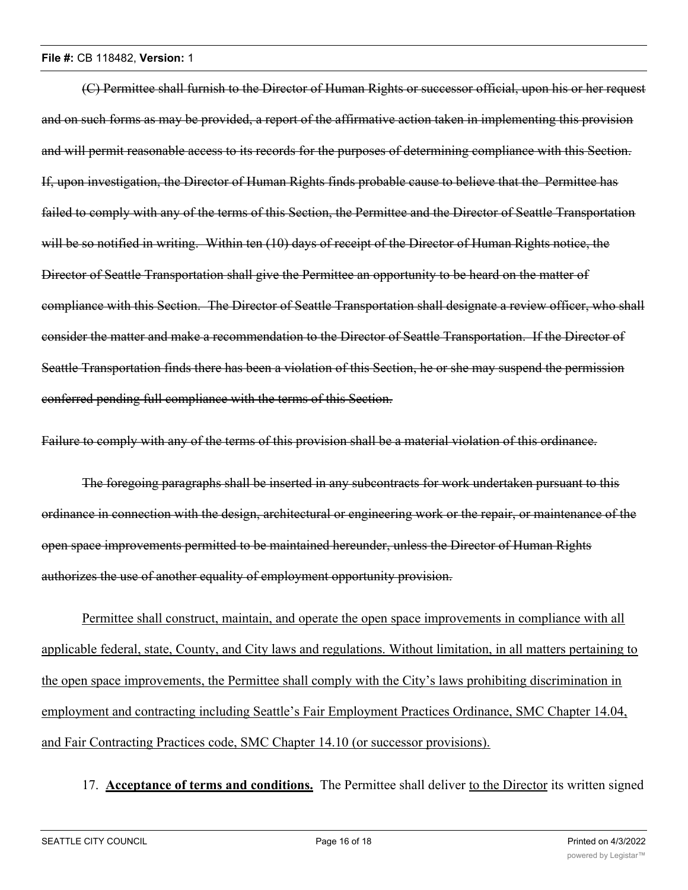#### **File #:** CB 118482, **Version:** 1

(C) Permittee shall furnish to the Director of Human Rights or successor official, upon his or her request and on such forms as may be provided, a report of the affirmative action taken in implementing this provision and will permit reasonable access to its records for the purposes of determining compliance with this Section. If, upon investigation, the Director of Human Rights finds probable cause to believe that the Permittee has failed to comply with any of the terms of this Section, the Permittee and the Director of Seattle Transportation will be so notified in writing. Within ten (10) days of receipt of the Director of Human Rights notice, the Director of Seattle Transportation shall give the Permittee an opportunity to be heard on the matter of compliance with this Section. The Director of Seattle Transportation shall designate a review officer, who shall consider the matter and make a recommendation to the Director of Seattle Transportation. If the Director of Seattle Transportation finds there has been a violation of this Section, he or she may suspend the permission conferred pending full compliance with the terms of this Section.

Failure to comply with any of the terms of this provision shall be a material violation of this ordinance.

The foregoing paragraphs shall be inserted in any subcontracts for work undertaken pursuant to this ordinance in connection with the design, architectural or engineering work or the repair, or maintenance of the open space improvements permitted to be maintained hereunder, unless the Director of Human Rights authorizes the use of another equality of employment opportunity provision.

Permittee shall construct, maintain, and operate the open space improvements in compliance with all applicable federal, state, County, and City laws and regulations. Without limitation, in all matters pertaining to the open space improvements, the Permittee shall comply with the City's laws prohibiting discrimination in employment and contracting including Seattle's Fair Employment Practices Ordinance, SMC Chapter 14.04, and Fair Contracting Practices code, SMC Chapter 14.10 (or successor provisions).

# 17. **Acceptance of terms and conditions.** The Permittee shall deliver to the Director its written signed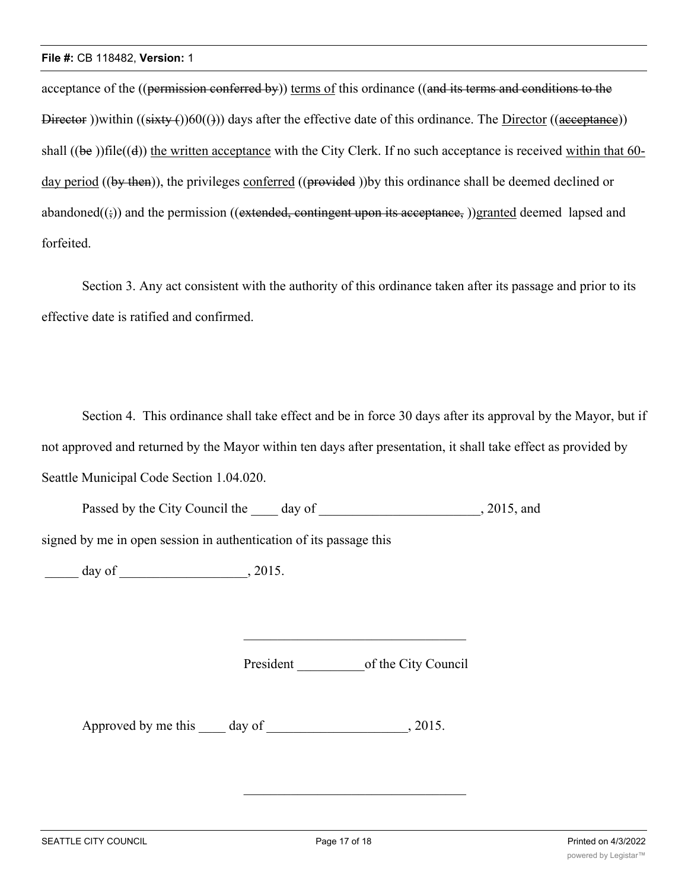acceptance of the ((permission conferred by)) terms of this ordinance ((and its terms and conditions to the Director ))within  $((sixty)(60)(4))$  days after the effective date of this ordinance. The Director  $((aceeptanee))$ shall  $((be))$ file $((d))$  the written acceptance with the City Clerk. If no such acceptance is received within that 60day period ((by then)), the privileges conferred ((provided)) by this ordinance shall be deemed declined or abandoned $((\xi))$  and the permission ((extended, contingent upon its acceptance, ))granted deemed lapsed and forfeited.

Section 3. Any act consistent with the authority of this ordinance taken after its passage and prior to its effective date is ratified and confirmed.

Section 4. This ordinance shall take effect and be in force 30 days after its approval by the Mayor, but if not approved and returned by the Mayor within ten days after presentation, it shall take effect as provided by Seattle Municipal Code Section 1.04.020.

Passed by the City Council the day of 3015, and

signed by me in open session in authentication of its passage this

\_\_\_\_\_ day of \_\_\_\_\_\_\_\_\_\_\_\_\_\_\_\_\_\_\_, 2015.

President of the City Council

Approved by me this day of , 2015.